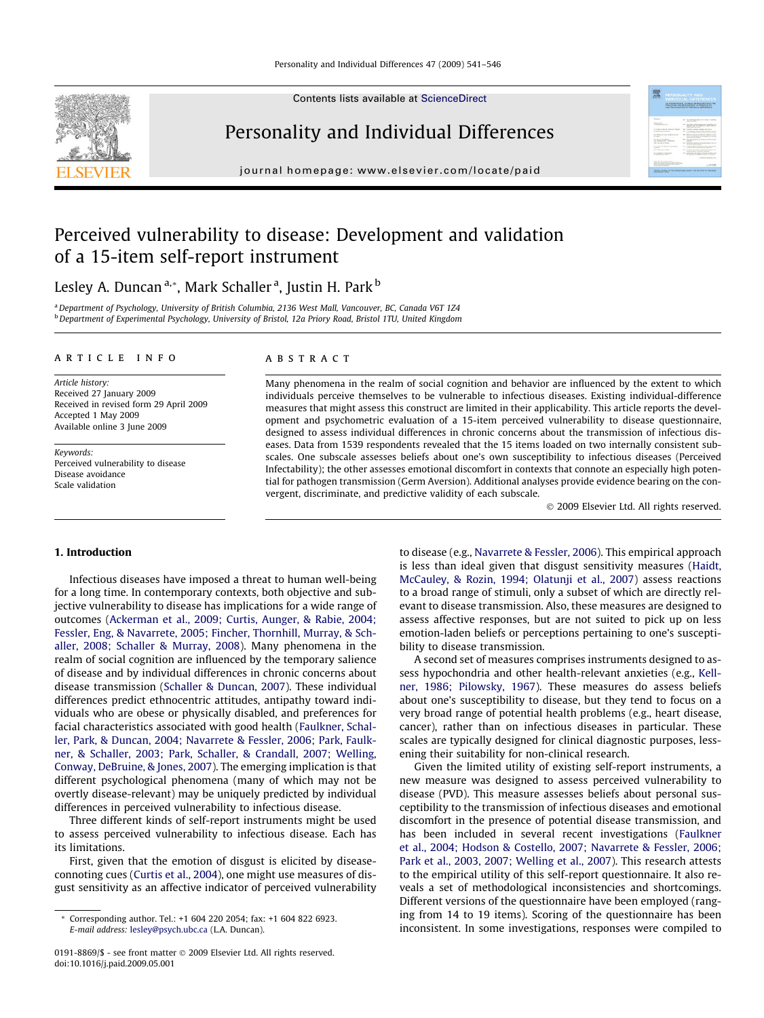Contents lists available at [ScienceDirect](http://www.sciencedirect.com/science/journal/01918869)



# Personality and Individual Differences

journal homepage: [www.elsevier.com/locate/paid](http://www.elsevier.com/locate/paid)

# **CONTRACTOR**

# Perceived vulnerability to disease: Development and validation of a 15-item self-report instrument

# Lesley A. Duncan <sup>a,</sup>\*, Mark Schaller <sup>a</sup>, Justin H. Park <sup>b</sup>

a Department of Psychology, University of British Columbia, 2136 West Mall, Vancouver, BC, Canada V6T 1Z4 b Department of Experimental Psychology, University of Bristol, 12a Priory Road, Bristol 1TU, United Kingdom

# article info

Article history: Received 27 January 2009 Received in revised form 29 April 2009 Accepted 1 May 2009 Available online 3 June 2009

Keywords: Perceived vulnerability to disease Disease avoidance Scale validation

#### **ABSTRACT**

Many phenomena in the realm of social cognition and behavior are influenced by the extent to which individuals perceive themselves to be vulnerable to infectious diseases. Existing individual-difference measures that might assess this construct are limited in their applicability. This article reports the development and psychometric evaluation of a 15-item perceived vulnerability to disease questionnaire, designed to assess individual differences in chronic concerns about the transmission of infectious diseases. Data from 1539 respondents revealed that the 15 items loaded on two internally consistent subscales. One subscale assesses beliefs about one's own susceptibility to infectious diseases (Perceived Infectability); the other assesses emotional discomfort in contexts that connote an especially high potential for pathogen transmission (Germ Aversion). Additional analyses provide evidence bearing on the convergent, discriminate, and predictive validity of each subscale.

- 2009 Elsevier Ltd. All rights reserved.

## 1. Introduction

Infectious diseases have imposed a threat to human well-being for a long time. In contemporary contexts, both objective and subjective vulnerability to disease has implications for a wide range of outcomes [\(Ackerman et al., 2009; Curtis, Aunger, & Rabie, 2004;](#page-4-0) [Fessler, Eng, & Navarrete, 2005; Fincher, Thornhill, Murray, & Sch](#page-4-0)[aller, 2008; Schaller & Murray, 2008](#page-4-0)). Many phenomena in the realm of social cognition are influenced by the temporary salience of disease and by individual differences in chronic concerns about disease transmission ([Schaller & Duncan, 2007\)](#page-5-0). These individual differences predict ethnocentric attitudes, antipathy toward individuals who are obese or physically disabled, and preferences for facial characteristics associated with good health [\(Faulkner, Schal](#page-4-0)[ler, Park, & Duncan, 2004; Navarrete & Fessler, 2006; Park, Faulk](#page-4-0)[ner, & Schaller, 2003; Park, Schaller, & Crandall, 2007; Welling,](#page-4-0) [Conway, DeBruine, & Jones, 2007](#page-4-0)). The emerging implication is that different psychological phenomena (many of which may not be overtly disease-relevant) may be uniquely predicted by individual differences in perceived vulnerability to infectious disease.

Three different kinds of self-report instruments might be used to assess perceived vulnerability to infectious disease. Each has its limitations.

First, given that the emotion of disgust is elicited by diseaseconnoting cues [\(Curtis et al., 2004\)](#page-4-0), one might use measures of disgust sensitivity as an affective indicator of perceived vulnerability to disease (e.g., [Navarrete & Fessler, 2006](#page-5-0)). This empirical approach is less than ideal given that disgust sensitivity measures ([Haidt,](#page-4-0) [McCauley, & Rozin, 1994; Olatunji et al., 2007](#page-4-0)) assess reactions to a broad range of stimuli, only a subset of which are directly relevant to disease transmission. Also, these measures are designed to assess affective responses, but are not suited to pick up on less emotion-laden beliefs or perceptions pertaining to one's susceptibility to disease transmission.

A second set of measures comprises instruments designed to assess hypochondria and other health-relevant anxieties (e.g., [Kell](#page-5-0)[ner, 1986; Pilowsky, 1967\)](#page-5-0). These measures do assess beliefs about one's susceptibility to disease, but they tend to focus on a very broad range of potential health problems (e.g., heart disease, cancer), rather than on infectious diseases in particular. These scales are typically designed for clinical diagnostic purposes, lessening their suitability for non-clinical research.

Given the limited utility of existing self-report instruments, a new measure was designed to assess perceived vulnerability to disease (PVD). This measure assesses beliefs about personal susceptibility to the transmission of infectious diseases and emotional discomfort in the presence of potential disease transmission, and has been included in several recent investigations ([Faulkner](#page-4-0) [et al., 2004; Hodson & Costello, 2007; Navarrete & Fessler, 2006;](#page-4-0) [Park et al., 2003, 2007; Welling et al., 2007\)](#page-4-0). This research attests to the empirical utility of this self-report questionnaire. It also reveals a set of methodological inconsistencies and shortcomings. Different versions of the questionnaire have been employed (ranging from 14 to 19 items). Scoring of the questionnaire has been inconsistent. In some investigations, responses were compiled to

Corresponding author. Tel.: +1 604 220 2054; fax: +1 604 822 6923. E-mail address: [lesley@psych.ubc.ca](mailto:lesley@psych.ubc.ca) (L.A. Duncan).

<sup>0191-8869/\$ -</sup> see front matter © 2009 Elsevier Ltd. All rights reserved. doi:10.1016/j.paid.2009.05.001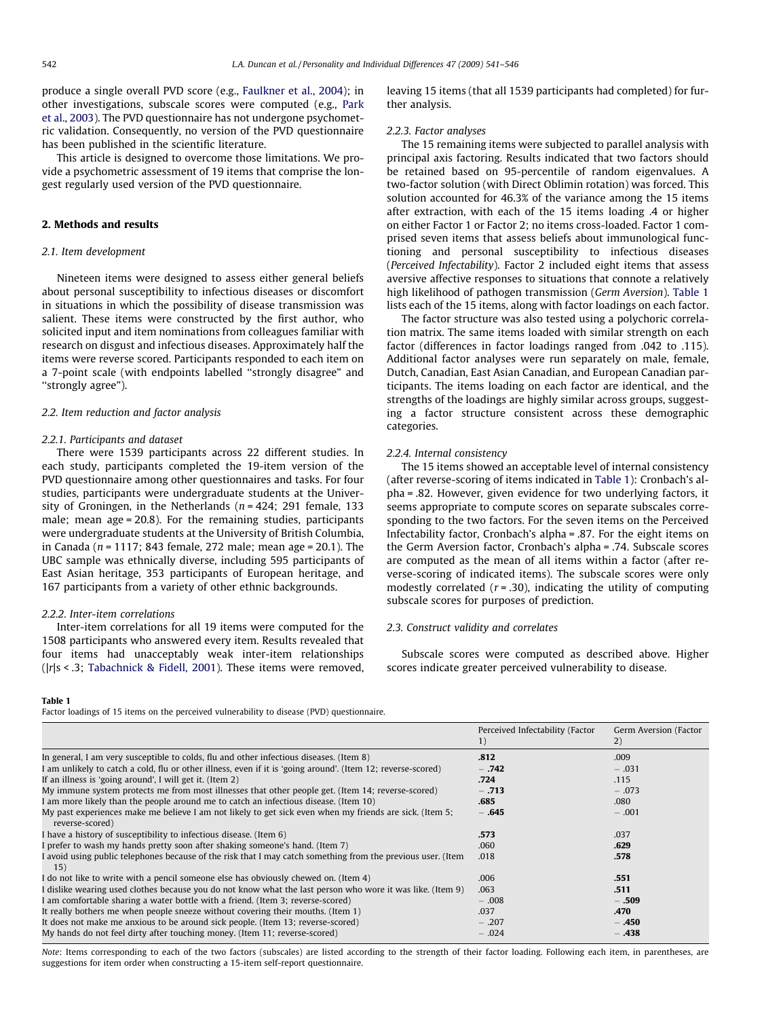<span id="page-1-0"></span>produce a single overall PVD score (e.g., [Faulkner et al., 2004\)](#page-4-0); in other investigations, subscale scores were computed (e.g., [Park](#page-5-0) [et al., 2003](#page-5-0)). The PVD questionnaire has not undergone psychometric validation. Consequently, no version of the PVD questionnaire has been published in the scientific literature.

This article is designed to overcome those limitations. We provide a psychometric assessment of 19 items that comprise the longest regularly used version of the PVD questionnaire.

# 2. Methods and results

#### 2.1. Item development

Nineteen items were designed to assess either general beliefs about personal susceptibility to infectious diseases or discomfort in situations in which the possibility of disease transmission was salient. These items were constructed by the first author, who solicited input and item nominations from colleagues familiar with research on disgust and infectious diseases. Approximately half the items were reverse scored. Participants responded to each item on a 7-point scale (with endpoints labelled ''strongly disagree" and "strongly agree").

#### 2.2. Item reduction and factor analysis

#### 2.2.1. Participants and dataset

There were 1539 participants across 22 different studies. In each study, participants completed the 19-item version of the PVD questionnaire among other questionnaires and tasks. For four studies, participants were undergraduate students at the University of Groningen, in the Netherlands ( $n = 424$ ; 291 female, 133 male; mean age = 20.8). For the remaining studies, participants were undergraduate students at the University of British Columbia, in Canada ( $n = 1117$ ; 843 female, 272 male; mean age = 20.1). The UBC sample was ethnically diverse, including 595 participants of East Asian heritage, 353 participants of European heritage, and 167 participants from a variety of other ethnic backgrounds.

#### 2.2.2. Inter-item correlations

Inter-item correlations for all 19 items were computed for the 1508 participants who answered every item. Results revealed that four items had unacceptably weak inter-item relationships (|r|s < .3; [Tabachnick & Fidell, 2001\)](#page-5-0). These items were removed, leaving 15 items (that all 1539 participants had completed) for further analysis.

#### 2.2.3. Factor analyses

The 15 remaining items were subjected to parallel analysis with principal axis factoring. Results indicated that two factors should be retained based on 95-percentile of random eigenvalues. A two-factor solution (with Direct Oblimin rotation) was forced. This solution accounted for 46.3% of the variance among the 15 items after extraction, with each of the 15 items loading .4 or higher on either Factor 1 or Factor 2; no items cross-loaded. Factor 1 comprised seven items that assess beliefs about immunological functioning and personal susceptibility to infectious diseases (Perceived Infectability). Factor 2 included eight items that assess aversive affective responses to situations that connote a relatively high likelihood of pathogen transmission (Germ Aversion). Table 1 lists each of the 15 items, along with factor loadings on each factor.

The factor structure was also tested using a polychoric correlation matrix. The same items loaded with similar strength on each factor (differences in factor loadings ranged from .042 to .115). Additional factor analyses were run separately on male, female, Dutch, Canadian, East Asian Canadian, and European Canadian participants. The items loading on each factor are identical, and the strengths of the loadings are highly similar across groups, suggesting a factor structure consistent across these demographic categories.

#### 2.2.4. Internal consistency

The 15 items showed an acceptable level of internal consistency (after reverse-scoring of items indicated in Table 1): Cronbach's alpha = .82. However, given evidence for two underlying factors, it seems appropriate to compute scores on separate subscales corresponding to the two factors. For the seven items on the Perceived Infectability factor, Cronbach's alpha = .87. For the eight items on the Germ Aversion factor, Cronbach's alpha = .74. Subscale scores are computed as the mean of all items within a factor (after reverse-scoring of indicated items). The subscale scores were only modestly correlated  $(r = .30)$ , indicating the utility of computing subscale scores for purposes of prediction.

#### 2.3. Construct validity and correlates

Subscale scores were computed as described above. Higher scores indicate greater perceived vulnerability to disease.

#### Table 1

Factor loadings of 15 items on the perceived vulnerability to disease (PVD) questionnaire.

|                                                                                                                            | Perceived Infectability (Factor<br>1) | Germ Aversion (Factor<br>2) |
|----------------------------------------------------------------------------------------------------------------------------|---------------------------------------|-----------------------------|
| In general, I am very susceptible to colds, flu and other infectious diseases. (Item 8)                                    | .812                                  | .009                        |
| I am unlikely to catch a cold, flu or other illness, even if it is 'going around'. (Item 12; reverse-scored)               | $-.742$                               | $-.031$                     |
| If an illness is 'going around', I will get it. (Item 2)                                                                   | .724                                  | .115                        |
| My immune system protects me from most illnesses that other people get. (Item 14; reverse-scored)                          | $-.713$                               | $-.073$                     |
| I am more likely than the people around me to catch an infectious disease. (Item 10)                                       | .685                                  | .080                        |
| My past experiences make me believe I am not likely to get sick even when my friends are sick. (Item 5;<br>reverse-scored) | $-.645$                               | $-.001$                     |
| I have a history of susceptibility to infectious disease. (Item 6)                                                         | .573                                  | .037                        |
| I prefer to wash my hands pretty soon after shaking someone's hand. (Item 7)                                               | .060                                  | .629                        |
| I avoid using public telephones because of the risk that I may catch something from the previous user. (Item<br>15)        | .018                                  | .578                        |
| I do not like to write with a pencil someone else has obviously chewed on. (Item 4)                                        | .006                                  | .551                        |
| I dislike wearing used clothes because you do not know what the last person who wore it was like. (Item 9)                 | .063                                  | .511                        |
| I am comfortable sharing a water bottle with a friend. (Item 3; reverse-scored)                                            | $-.008$                               | $-.509$                     |
| It really bothers me when people sneeze without covering their mouths. (Item 1)                                            | .037                                  | .470                        |
| It does not make me anxious to be around sick people. (Item 13; reverse-scored)                                            | $-.207$                               | $-.450$                     |
| My hands do not feel dirty after touching money. (Item 11; reverse-scored)                                                 | $-.024$                               | $- .438$                    |

Note: Items corresponding to each of the two factors (subscales) are listed according to the strength of their factor loading. Following each item, in parentheses, are suggestions for item order when constructing a 15-item self-report questionnaire.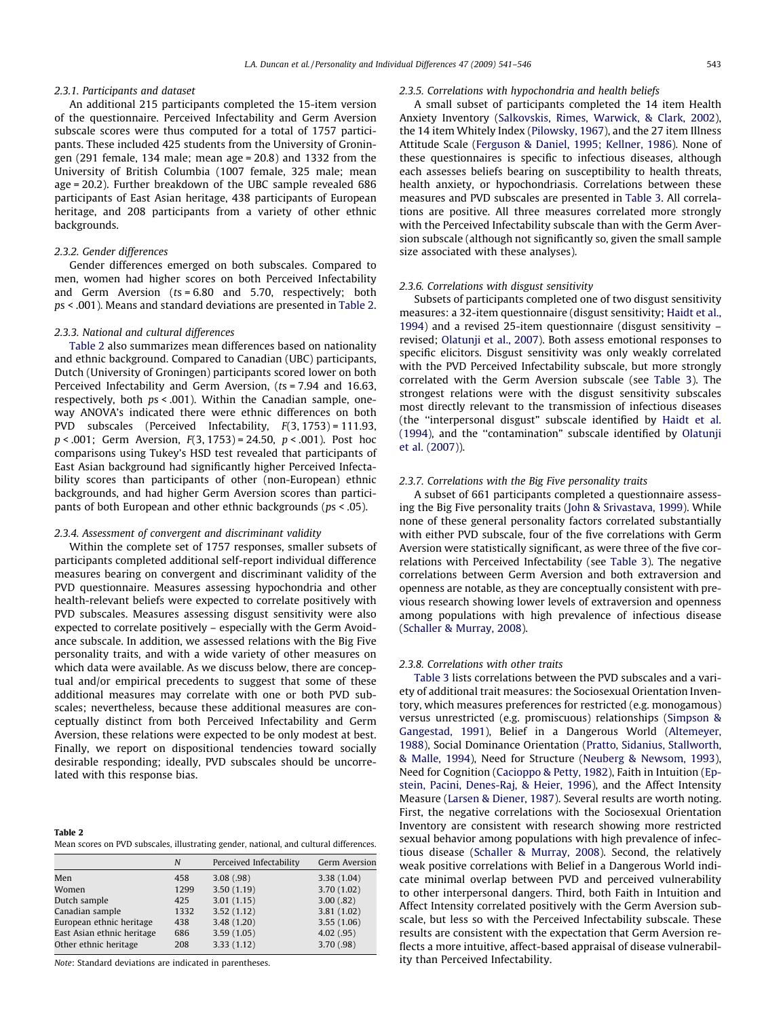#### 2.3.1. Participants and dataset

An additional 215 participants completed the 15-item version of the questionnaire. Perceived Infectability and Germ Aversion subscale scores were thus computed for a total of 1757 participants. These included 425 students from the University of Groningen (291 female, 134 male; mean age = 20.8) and 1332 from the University of British Columbia (1007 female, 325 male; mean age = 20.2). Further breakdown of the UBC sample revealed 686 participants of East Asian heritage, 438 participants of European heritage, and 208 participants from a variety of other ethnic backgrounds.

# 2.3.2. Gender differences

Gender differences emerged on both subscales. Compared to men, women had higher scores on both Perceived Infectability and Germ Aversion ( $ts = 6.80$  and 5.70, respectively; both ps < .001). Means and standard deviations are presented in Table 2.

#### 2.3.3. National and cultural differences

Table 2 also summarizes mean differences based on nationality and ethnic background. Compared to Canadian (UBC) participants, Dutch (University of Groningen) participants scored lower on both Perceived Infectability and Germ Aversion, (ts = 7.94 and 16.63, respectively, both ps < .001). Within the Canadian sample, oneway ANOVA's indicated there were ethnic differences on both PVD subscales (Perceived Infectability, F(3, 1753) = 111.93,  $p < .001$ ; Germ Aversion,  $F(3, 1753) = 24.50$ ,  $p < .001$ ). Post hoc comparisons using Tukey's HSD test revealed that participants of East Asian background had significantly higher Perceived Infectability scores than participants of other (non-European) ethnic backgrounds, and had higher Germ Aversion scores than participants of both European and other ethnic backgrounds (ps < .05).

#### 2.3.4. Assessment of convergent and discriminant validity

Within the complete set of 1757 responses, smaller subsets of participants completed additional self-report individual difference measures bearing on convergent and discriminant validity of the PVD questionnaire. Measures assessing hypochondria and other health-relevant beliefs were expected to correlate positively with PVD subscales. Measures assessing disgust sensitivity were also expected to correlate positively – especially with the Germ Avoidance subscale. In addition, we assessed relations with the Big Five personality traits, and with a wide variety of other measures on which data were available. As we discuss below, there are conceptual and/or empirical precedents to suggest that some of these additional measures may correlate with one or both PVD subscales; nevertheless, because these additional measures are conceptually distinct from both Perceived Infectability and Germ Aversion, these relations were expected to be only modest at best. Finally, we report on dispositional tendencies toward socially desirable responding; ideally, PVD subscales should be uncorrelated with this response bias.

| Table 2                                                                                |
|----------------------------------------------------------------------------------------|
| Mean scores on PVD subscales, illustrating gender, national, and cultural differences. |

|                            | N    | Perceived Infectability | <b>Germ Aversion</b> |
|----------------------------|------|-------------------------|----------------------|
| Men                        | 458  | 3.08(.98)               | 3.38(1.04)           |
| Women                      | 1299 | 3.50(1.19)              | 3.70(1.02)           |
| Dutch sample               | 425  | 3.01(1.15)              | 3.00(.82)            |
| Canadian sample            | 1332 | 3.52(1.12)              | 3.81(1.02)           |
| European ethnic heritage   | 438  | 3.48(1.20)              | 3.55(1.06)           |
| East Asian ethnic heritage | 686  | 3.59(1.05)              | 4.02(.95)            |
| Other ethnic heritage      | 208  | 3.33(1.12)              | 3.70(.98)            |
|                            |      |                         |                      |

Note: Standard deviations are indicated in parentheses.

#### 2.3.5. Correlations with hypochondria and health beliefs

A small subset of participants completed the 14 item Health Anxiety Inventory ([Salkovskis, Rimes, Warwick, & Clark, 2002\)](#page-5-0), the 14 item Whitely Index [\(Pilowsky, 1967](#page-5-0)), and the 27 item Illness Attitude Scale [\(Ferguson & Daniel, 1995; Kellner, 1986\)](#page-4-0). None of these questionnaires is specific to infectious diseases, although each assesses beliefs bearing on susceptibility to health threats, health anxiety, or hypochondriasis. Correlations between these measures and PVD subscales are presented in [Table 3.](#page-3-0) All correlations are positive. All three measures correlated more strongly with the Perceived Infectability subscale than with the Germ Aversion subscale (although not significantly so, given the small sample size associated with these analyses).

### 2.3.6. Correlations with disgust sensitivity

Subsets of participants completed one of two disgust sensitivity measures: a 32-item questionnaire (disgust sensitivity; [Haidt et al.,](#page-4-0) [1994\)](#page-4-0) and a revised 25-item questionnaire (disgust sensitivity – revised; [Olatunji et al., 2007\)](#page-5-0). Both assess emotional responses to specific elicitors. Disgust sensitivity was only weakly correlated with the PVD Perceived Infectability subscale, but more strongly correlated with the Germ Aversion subscale (see [Table 3\)](#page-3-0). The strongest relations were with the disgust sensitivity subscales most directly relevant to the transmission of infectious diseases (the ''interpersonal disgust" subscale identified by [Haidt et al.](#page-4-0) [\(1994\),](#page-4-0) and the ''contamination" subscale identified by [Olatunji](#page-5-0) [et al. \(2007\)\)](#page-5-0).

#### 2.3.7. Correlations with the Big Five personality traits

A subset of 661 participants completed a questionnaire assessing the Big Five personality traits ([John & Srivastava, 1999\)](#page-4-0). While none of these general personality factors correlated substantially with either PVD subscale, four of the five correlations with Germ Aversion were statistically significant, as were three of the five correlations with Perceived Infectability (see [Table 3\)](#page-3-0). The negative correlations between Germ Aversion and both extraversion and openness are notable, as they are conceptually consistent with previous research showing lower levels of extraversion and openness among populations with high prevalence of infectious disease ([Schaller & Murray, 2008\)](#page-5-0).

#### 2.3.8. Correlations with other traits

[Table 3](#page-3-0) lists correlations between the PVD subscales and a variety of additional trait measures: the Sociosexual Orientation Inventory, which measures preferences for restricted (e.g. monogamous) versus unrestricted (e.g. promiscuous) relationships ([Simpson &](#page-5-0) [Gangestad, 1991](#page-5-0)), Belief in a Dangerous World ([Altemeyer,](#page-4-0) [1988\)](#page-4-0), Social Dominance Orientation [\(Pratto, Sidanius, Stallworth,](#page-5-0) [& Malle, 1994\)](#page-5-0), Need for Structure ([Neuberg & Newsom, 1993\)](#page-5-0), Need for Cognition [\(Cacioppo & Petty, 1982](#page-4-0)), Faith in Intuition ([Ep](#page-4-0)[stein, Pacini, Denes-Raj, & Heier, 1996](#page-4-0)), and the Affect Intensity Measure [\(Larsen & Diener, 1987](#page-5-0)). Several results are worth noting. First, the negative correlations with the Sociosexual Orientation Inventory are consistent with research showing more restricted sexual behavior among populations with high prevalence of infectious disease ([Schaller & Murray, 2008\)](#page-5-0). Second, the relatively weak positive correlations with Belief in a Dangerous World indicate minimal overlap between PVD and perceived vulnerability to other interpersonal dangers. Third, both Faith in Intuition and Affect Intensity correlated positively with the Germ Aversion subscale, but less so with the Perceived Infectability subscale. These results are consistent with the expectation that Germ Aversion reflects a more intuitive, affect-based appraisal of disease vulnerability than Perceived Infectability.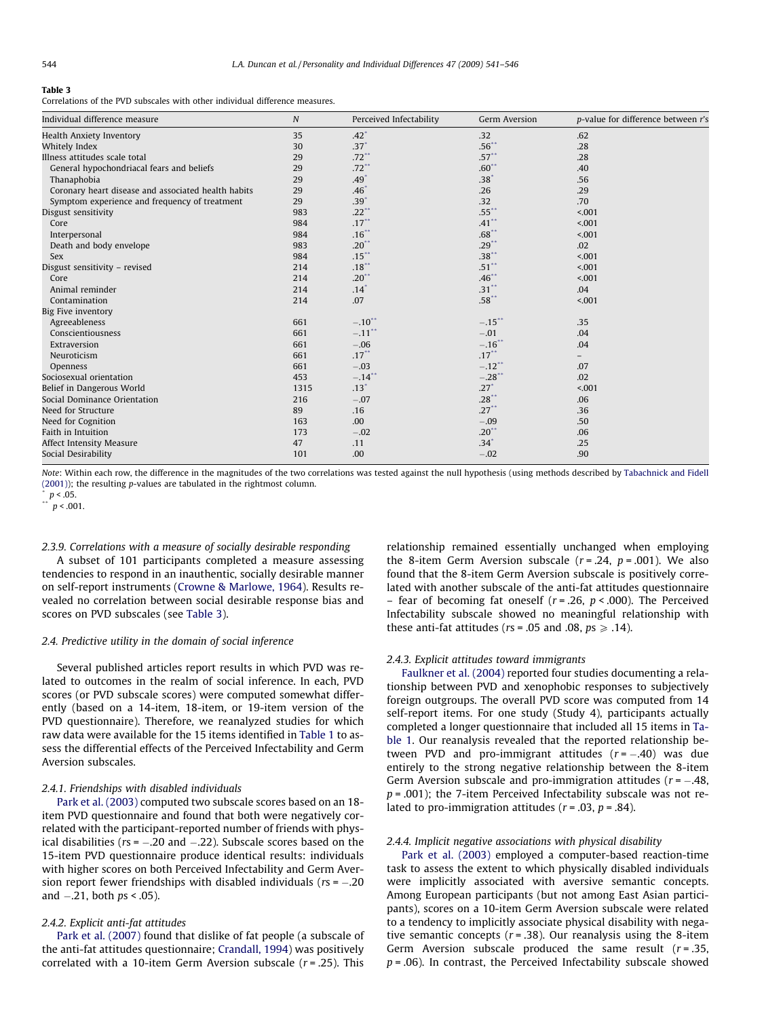#### <span id="page-3-0"></span>Table 3

Correlations of the PVD subscales with other individual difference measures.

| Individual difference measure                       | $\overline{N}$ | Perceived Infectability | Germ Aversion    | p-value for difference between r's |
|-----------------------------------------------------|----------------|-------------------------|------------------|------------------------------------|
| <b>Health Anxiety Inventory</b>                     | 35             | $.42^*$                 | .32              | .62                                |
| Whitely Index                                       | 30             | $.37*$                  | $.56***$         | .28                                |
| Illness attitudes scale total                       | 29             | $.72***$                | $.57***$         | .28                                |
| General hypochondriacal fears and beliefs           | 29             | $.72***$                | .60              | .40                                |
| Thanaphobia                                         | 29             | $.49^{\degree}$         | .38 <sup>°</sup> | .56                                |
| Coronary heart disease and associated health habits | 29             | .46'                    | .26              | .29                                |
| Symptom experience and frequency of treatment       | 29             | .39 <sup>°</sup>        | .32              | .70                                |
| Disgust sensitivity                                 | 983            | $.22$ **                | $.55***$         | < 001                              |
| Core                                                | 984            | $.17***$                | $.41***$         | < 0.001                            |
| Interpersonal                                       | 984            | $.16***$                | $.68***$         | < 001                              |
| Death and body envelope                             | 983            | $.20***$                | $.29***$         | .02                                |
| Sex                                                 | 984            | $.15***$                | $.38***$         | < 0.01                             |
| Disgust sensitivity - revised                       | 214            | .18                     | $.51***$         | < 0.01                             |
| Core                                                | 214            | $.20***$                | $.46***$         | < 0.01                             |
| Animal reminder                                     | 214            | .14 <sup>°</sup>        | $.31***$         | .04                                |
| Contamination                                       | 214            | .07                     | $.58***$         | < 001                              |
| Big Five inventory                                  |                |                         |                  |                                    |
| Agreeableness                                       | 661            | $-.10$ **               | $-.15$ **        | .35                                |
| Conscientiousness                                   | 661            | $-.11$ <sup>**</sup>    | $-.01$           | .04                                |
| Extraversion                                        | 661            | $-.06$                  | $-.16$ **        | .04                                |
| Neuroticism                                         | 661            | $.17***$                | $.17***$         | $-$                                |
| Openness                                            | 661            | $-.03$                  | $-.12$ **        | .07                                |
| Sociosexual orientation                             | 453            | $-.14"$                 | $-.28$ **        | .02                                |
| Belief in Dangerous World                           | 1315           | .13"                    | $.27*$           | < 0.01                             |
| Social Dominance Orientation                        | 216            | $-.07$                  | $.28***$         | .06                                |
| Need for Structure                                  | 89             | .16                     | $.27***$         | .36                                |
| Need for Cognition                                  | 163            | .00                     | $-.09$           | .50                                |
| Faith in Intuition                                  | 173            | $-.02$                  | $.20**$          | .06                                |
| <b>Affect Intensity Measure</b>                     | 47             | .11                     | $.34*$           | .25                                |
| Social Desirability                                 | 101            | .00                     | $-.02$           | .90                                |

Note: Within each row, the difference in the magnitudes of the two correlations was tested against the null hypothesis (using methods described by [Tabachnick and Fidell](#page-5-0) [\(2001\)\)](#page-5-0); the resulting p-values are tabulated in the rightmost column.

\*  $p < .05$ .

 $p < .001$ .

# 2.3.9. Correlations with a measure of socially desirable responding

A subset of 101 participants completed a measure assessing tendencies to respond in an inauthentic, socially desirable manner on self-report instruments ([Crowne & Marlowe, 1964\)](#page-4-0). Results revealed no correlation between social desirable response bias and scores on PVD subscales (see Table 3).

#### 2.4. Predictive utility in the domain of social inference

Several published articles report results in which PVD was related to outcomes in the realm of social inference. In each, PVD scores (or PVD subscale scores) were computed somewhat differently (based on a 14-item, 18-item, or 19-item version of the PVD questionnaire). Therefore, we reanalyzed studies for which raw data were available for the 15 items identified in [Table 1](#page-1-0) to assess the differential effects of the Perceived Infectability and Germ Aversion subscales.

## 2.4.1. Friendships with disabled individuals

[Park et al. \(2003\)](#page-5-0) computed two subscale scores based on an 18 item PVD questionnaire and found that both were negatively correlated with the participant-reported number of friends with physical disabilities (rs = –.20 and –.22). Subscale scores based on the 15-item PVD questionnaire produce identical results: individuals with higher scores on both Perceived Infectability and Germ Aversion report fewer friendships with disabled individuals ( $rs = -.20$ and  $-.21$ , both  $ps < .05$ ).

#### 2.4.2. Explicit anti-fat attitudes

[Park et al. \(2007\)](#page-5-0) found that dislike of fat people (a subscale of the anti-fat attitudes questionnaire; [Crandall, 1994\)](#page-4-0) was positively correlated with a 10-item Germ Aversion subscale  $(r = .25)$ . This relationship remained essentially unchanged when employing the 8-item Germ Aversion subscale  $(r=.24, p=.001)$ . We also found that the 8-item Germ Aversion subscale is positively correlated with another subscale of the anti-fat attitudes questionnaire – fear of becoming fat oneself ( $r = 0.26$ ,  $p < 0.00$ ). The Perceived Infectability subscale showed no meaningful relationship with these anti-fat attitudes ( $rs = .05$  and  $.08$ ,  $ps \ge .14$ ).

# 2.4.3. Explicit attitudes toward immigrants

[Faulkner et al. \(2004\)](#page-4-0) reported four studies documenting a relationship between PVD and xenophobic responses to subjectively foreign outgroups. The overall PVD score was computed from 14 self-report items. For one study (Study 4), participants actually completed a longer questionnaire that included all 15 items in [Ta](#page-1-0)[ble 1](#page-1-0). Our reanalysis revealed that the reported relationship between PVD and pro-immigrant attitudes  $(r = -.40)$  was due entirely to the strong negative relationship between the 8-item Germ Aversion subscale and pro-immigration attitudes  $(r = -.48, ...)$  $p = .001$ ; the 7-item Perceived Infectability subscale was not related to pro-immigration attitudes ( $r = .03$ ,  $p = .84$ ).

#### 2.4.4. Implicit negative associations with physical disability

[Park et al. \(2003\)](#page-5-0) employed a computer-based reaction-time task to assess the extent to which physically disabled individuals were implicitly associated with aversive semantic concepts. Among European participants (but not among East Asian participants), scores on a 10-item Germ Aversion subscale were related to a tendency to implicitly associate physical disability with negative semantic concepts  $(r = .38)$ . Our reanalysis using the 8-item Germ Aversion subscale produced the same result  $(r=.35, ...)$  $p = .06$ ). In contrast, the Perceived Infectability subscale showed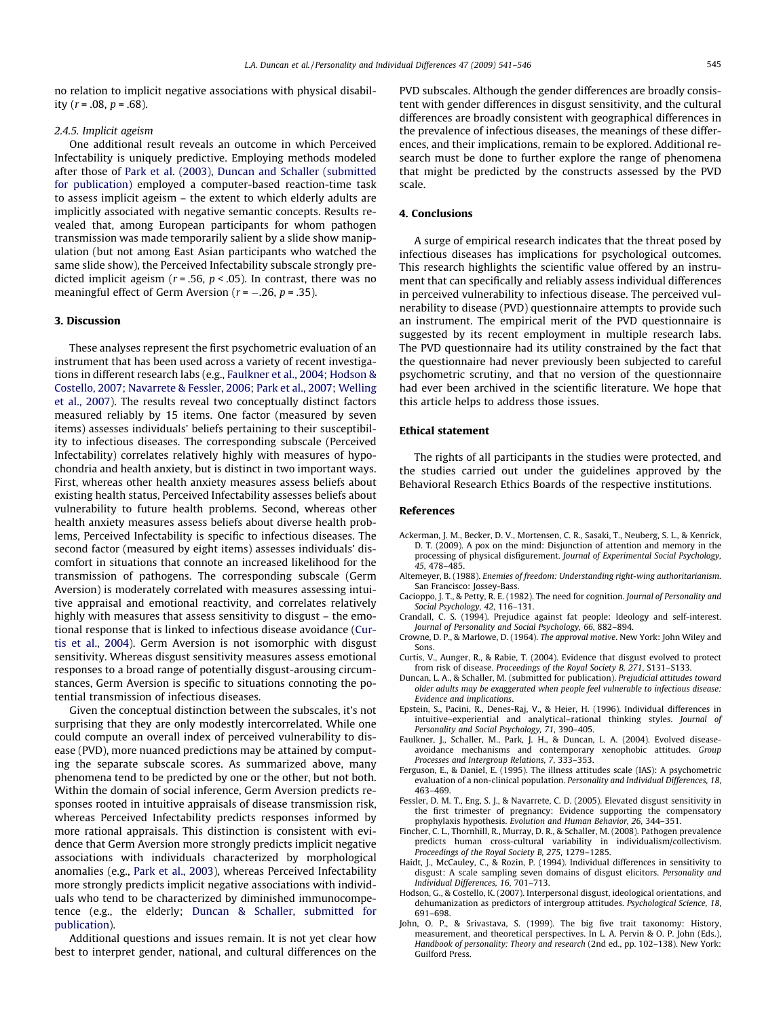<span id="page-4-0"></span>no relation to implicit negative associations with physical disability ( $r = .08$ ,  $p = .68$ ).

#### 2.4.5. Implicit ageism

One additional result reveals an outcome in which Perceived Infectability is uniquely predictive. Employing methods modeled after those of [Park et al. \(2003\), Duncan and Schaller \(submitted](#page-5-0) [for publication\)](#page-5-0) employed a computer-based reaction-time task to assess implicit ageism – the extent to which elderly adults are implicitly associated with negative semantic concepts. Results revealed that, among European participants for whom pathogen transmission was made temporarily salient by a slide show manipulation (but not among East Asian participants who watched the same slide show), the Perceived Infectability subscale strongly predicted implicit ageism ( $r = .56$ ,  $p < .05$ ). In contrast, there was no meaningful effect of Germ Aversion ( $r$  =  $-.26$ ,  $p$  = .35).

#### 3. Discussion

These analyses represent the first psychometric evaluation of an instrument that has been used across a variety of recent investigations in different research labs (e.g., Faulkner et al., 2004; Hodson & Costello, 2007; Navarrete & Fessler, 2006; Park et al., 2007; Welling et al., 2007). The results reveal two conceptually distinct factors measured reliably by 15 items. One factor (measured by seven items) assesses individuals' beliefs pertaining to their susceptibility to infectious diseases. The corresponding subscale (Perceived Infectability) correlates relatively highly with measures of hypochondria and health anxiety, but is distinct in two important ways. First, whereas other health anxiety measures assess beliefs about existing health status, Perceived Infectability assesses beliefs about vulnerability to future health problems. Second, whereas other health anxiety measures assess beliefs about diverse health problems, Perceived Infectability is specific to infectious diseases. The second factor (measured by eight items) assesses individuals' discomfort in situations that connote an increased likelihood for the transmission of pathogens. The corresponding subscale (Germ Aversion) is moderately correlated with measures assessing intuitive appraisal and emotional reactivity, and correlates relatively highly with measures that assess sensitivity to disgust – the emotional response that is linked to infectious disease avoidance (Curtis et al., 2004). Germ Aversion is not isomorphic with disgust sensitivity. Whereas disgust sensitivity measures assess emotional responses to a broad range of potentially disgust-arousing circumstances, Germ Aversion is specific to situations connoting the potential transmission of infectious diseases.

Given the conceptual distinction between the subscales, it's not surprising that they are only modestly intercorrelated. While one could compute an overall index of perceived vulnerability to disease (PVD), more nuanced predictions may be attained by computing the separate subscale scores. As summarized above, many phenomena tend to be predicted by one or the other, but not both. Within the domain of social inference, Germ Aversion predicts responses rooted in intuitive appraisals of disease transmission risk, whereas Perceived Infectability predicts responses informed by more rational appraisals. This distinction is consistent with evidence that Germ Aversion more strongly predicts implicit negative associations with individuals characterized by morphological anomalies (e.g., [Park et al., 2003\)](#page-5-0), whereas Perceived Infectability more strongly predicts implicit negative associations with individuals who tend to be characterized by diminished immunocompetence (e.g., the elderly; Duncan & Schaller, submitted for publication).

Additional questions and issues remain. It is not yet clear how best to interpret gender, national, and cultural differences on the PVD subscales. Although the gender differences are broadly consistent with gender differences in disgust sensitivity, and the cultural differences are broadly consistent with geographical differences in the prevalence of infectious diseases, the meanings of these differences, and their implications, remain to be explored. Additional research must be done to further explore the range of phenomena that might be predicted by the constructs assessed by the PVD scale.

#### 4. Conclusions

A surge of empirical research indicates that the threat posed by infectious diseases has implications for psychological outcomes. This research highlights the scientific value offered by an instrument that can specifically and reliably assess individual differences in perceived vulnerability to infectious disease. The perceived vulnerability to disease (PVD) questionnaire attempts to provide such an instrument. The empirical merit of the PVD questionnaire is suggested by its recent employment in multiple research labs. The PVD questionnaire had its utility constrained by the fact that the questionnaire had never previously been subjected to careful psychometric scrutiny, and that no version of the questionnaire had ever been archived in the scientific literature. We hope that this article helps to address those issues.

# Ethical statement

The rights of all participants in the studies were protected, and the studies carried out under the guidelines approved by the Behavioral Research Ethics Boards of the respective institutions.

#### References

- Ackerman, J. M., Becker, D. V., Mortensen, C. R., Sasaki, T., Neuberg, S. L., & Kenrick, D. T. (2009). A pox on the mind: Disjunction of attention and memory in the processing of physical disfigurement. Journal of Experimental Social Psychology, 45, 478–485.
- Altemeyer, B. (1988). Enemies of freedom: Understanding right-wing authoritarianism. San Francisco: Jossey-Bass.
- Cacioppo, J. T., & Petty, R. E. (1982). The need for cognition. Journal of Personality and Social Psychology, 42, 116–131.
- Crandall, C. S. (1994). Prejudice against fat people: Ideology and self-interest. Journal of Personality and Social Psychology, 66, 882–894.
- Crowne, D. P., & Marlowe, D. (1964). The approval motive. New York: John Wiley and Sons.
- Curtis, V., Aunger, R., & Rabie, T. (2004). Evidence that disgust evolved to protect from risk of disease. Proceedings of the Royal Society B, 271, S131–S133.
- Duncan, L. A., & Schaller, M. (submitted for publication). Prejudicial attitudes toward older adults may be exaggerated when people feel vulnerable to infectious disease: Evidence and implications.
- Epstein, S., Pacini, R., Denes-Raj, V., & Heier, H. (1996). Individual differences in intuitive–experiential and analytical–rational thinking styles. Journal of Personality and Social Psychology, 71, 390–405.
- Faulkner, J., Schaller, M., Park, J. H., & Duncan, L. A. (2004). Evolved disease-avoidance mechanisms and contemporary xenophobic attitudes. Group Processes and Intergroup Relations, 7, 333–353.
- Ferguson, E., & Daniel, E. (1995). The illness attitudes scale (IAS): A psychometric evaluation of a non-clinical population. Personality and Individual Differences, 18, 463–469.
- Fessler, D. M. T., Eng, S. J., & Navarrete, C. D. (2005). Elevated disgust sensitivity in the first trimester of pregnancy: Evidence supporting the compensatory prophylaxis hypothesis. Evolution and Human Behavior, 26, 344–351.
- Fincher, C. L., Thornhill, R., Murray, D. R., & Schaller, M. (2008). Pathogen prevalence predicts human cross-cultural variability in individualism/collectivism. Proceedings of the Royal Society B, 275, 1279–1285.
- Haidt, J., McCauley, C., & Rozin, P. (1994). Individual differences in sensitivity to disgust: A scale sampling seven domains of disgust elicitors. Personality and Individual Differences, 16, 701–713.
- Hodson, G., & Costello, K. (2007). Interpersonal disgust, ideological orientations, and dehumanization as predictors of intergroup attitudes. Psychological Science, 18, 691–698.
- John, O. P., & Srivastava, S. (1999). The big five trait taxonomy: History, measurement, and theoretical perspectives. In L. A. Pervin & O. P. John (Eds.), Handbook of personality: Theory and research (2nd ed., pp. 102–138). New York: Guilford Press.